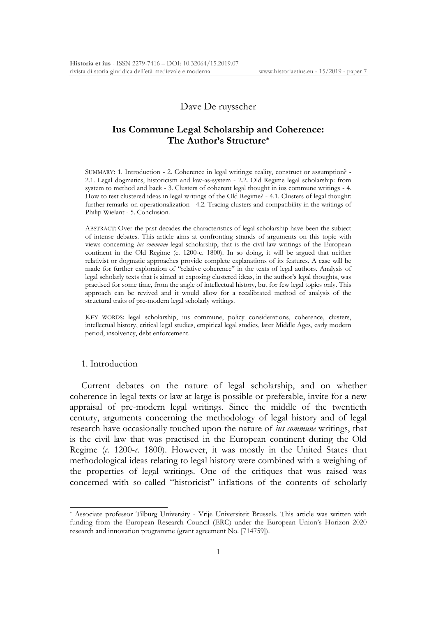### Dave De ruysscher

# **Ius Commune Legal Scholarship and Coherence: The Author's Structure\***

SUMMARY: 1. Introduction - 2. Coherence in legal writings: reality, construct or assumption? - 2.1. Legal dogmatics, historicism and law-as-system - 2.2. Old Regime legal scholarship: from system to method and back - 3. Clusters of coherent legal thought in ius commune writings - 4. How to test clustered ideas in legal writings of the Old Regime? - 4.1. Clusters of legal thought: further remarks on operationalization - 4.2. Tracing clusters and compatibility in the writings of Philip Wielant - 5. Conclusion.

ABSTRACT: Over the past decades the characteristics of legal scholarship have been the subject of intense debates. This article aims at confronting strands of arguments on this topic with views concerning *ius commune* legal scholarship, that is the civil law writings of the European continent in the Old Regime (c. 1200-c. 1800). In so doing, it will be argued that neither relativist or dogmatic approaches provide complete explanations of its features. A case will be made for further exploration of "relative coherence" in the texts of legal authors. Analysis of legal scholarly texts that is aimed at exposing clustered ideas, in the author's legal thoughts, was practised for some time, from the angle of intellectual history, but for few legal topics only. This approach can be revived and it would allow for a recalibrated method of analysis of the structural traits of pre-modern legal scholarly writings.

KEY WORDS: legal scholarship, ius commune, policy considerations, coherence, clusters, intellectual history, critical legal studies, empirical legal studies, later Middle Ages, early modern period, insolvency, debt enforcement.

## 1. Introduction

1

Current debates on the nature of legal scholarship, and on whether coherence in legal texts or law at large is possible or preferable, invite for a new appraisal of pre-modern legal writings. Since the middle of the twentieth century, arguments concerning the methodology of legal history and of legal research have occasionally touched upon the nature of *ius commune* writings, that is the civil law that was practised in the European continent during the Old Regime (*c.* 1200-*c.* 1800). However, it was mostly in the United States that methodological ideas relating to legal history were combined with a weighing of the properties of legal writings. One of the critiques that was raised was concerned with so-called "historicist" inflations of the contents of scholarly

<sup>\*</sup> Associate professor Tilburg University - Vrije Universiteit Brussels. This article was written with funding from the European Research Council (ERC) under the European Union's Horizon 2020 research and innovation programme (grant agreement No. [714759]).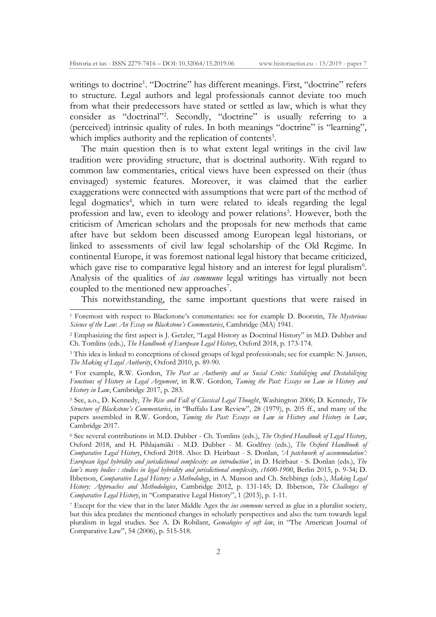writings to doctrine<sup>1</sup>. "Doctrine" has different meanings. First, "doctrine" refers to structure. Legal authors and legal professionals cannot deviate too much from what their predecessors have stated or settled as law, which is what they consider as "doctrinal"<sup>2</sup>. Secondly, "doctrine" is usually referring to a (perceived) intrinsic quality of rules. In both meanings "doctrine" is "learning", which implies authority and the replication of contents<sup>3</sup>.

The main question then is to what extent legal writings in the civil law tradition were providing structure, that is doctrinal authority. With regard to common law commentaries, critical views have been expressed on their (thus envisaged) systemic features. Moreover, it was claimed that the earlier exaggerations were connected with assumptions that were part of the method of legal dogmatics<sup>4</sup>, which in turn were related to ideals regarding the legal profession and law, even to ideology and power relations<sup>5</sup>. However, both the criticism of American scholars and the proposals for new methods that came after have but seldom been discussed among European legal historians, or linked to assessments of civil law legal scholarship of the Old Regime. In continental Europe, it was foremost national legal history that became criticized, which gave rise to comparative legal history and an interest for legal pluralism<sup>6</sup>. Analysis of the qualities of *ius commune* legal writings has virtually not been coupled to the mentioned new approaches<sup>7</sup>.

This notwithstanding, the same important questions that were raised in

<sup>1</sup> Foremost with respect to Blackstone's commentaries: see for example D. Boorstin, *The Mysterious Science of the Law*: *An Essay on Blackstone's Commentaries*, Cambridge (MA) 1941.

<sup>2</sup> Emphasizing the first aspect is J. Getzler, "Legal History as Doctrinal History" in M.D. Dubber and Ch. Tomlins (eds.), *The Handbook of European Legal History*, Oxford 2018, p. 173-174.

<sup>3</sup> This idea is linked to conceptions of closed groups of legal professionals; see for example: N. Jansen, *The Making of Legal Authority*, Oxford 2010, p. 89-90.

<sup>4</sup> For example, R.W. Gordon, *The Past as Authority and as Social Critic: Stabilizing and Destabilizing Functions of History in Legal Argument*, in R.W. Gordon, *Taming the Past: Essays on Law in History and History in Law*, Cambridge 2017, p. 283.

<sup>5</sup> See, a.o., D. Kennedy, *The Rise and Fall of Classical Legal Thought*, Washington 2006; D. Kennedy, *The Structure of Blackstone's Commentaries*, in "Buffalo Law Review", 28 (1979), p. 205 ff., and many of the papers assembled in R.W. Gordon, *Taming the Past: Essays on Law in History and History in Law*, Cambridge 2017.

<sup>6</sup> See several contributions in M.D. Dubber - Ch. Tomlins (eds.), *The Oxford Handbook of Legal History*, Oxford 2018, and H. Pihlajamäki - M.D. Dubber - M. Godfrey (eds.), *The Oxford Handbook of Comparative Legal History*, Oxford 2018. Also: D. Heirbaut - S. Donlan, *'A patchwork of accommodation': European legal hybridity and jurisdictional complexity: an introduction'*, in D. Heirbaut - S. Donlan (eds.), *The law's many bodies : studies in legal hybridity and jurisdictional complexity, c1600-1900*, Berlin 2015, p. 9-34; D. Ibbetson, *Comparative Legal History: a Methodology*, in A. Musson and Ch. Stebbings (eds.), *Making Legal History: Approaches and Methodologies*, Cambridge 2012, p. 131-145; D. Ibbetson, *The Challenges of Comparative Legal History*, in "Comparative Legal History", 1 (2013), p. 1-11.

<sup>7</sup> Except for the view that in the later Middle Ages the *ius commune* served as glue in a pluralist society, but this idea predates the mentioned changes in scholarly perspectives and also the turn towards legal pluralism in legal studies. See A. Di Robilant, *Genealogies of soft law*, in "The American Journal of Comparative Law", 54 (2006), p. 515-518.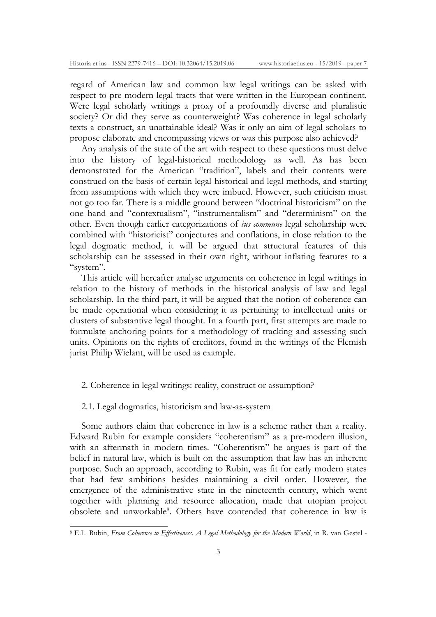regard of American law and common law legal writings can be asked with respect to pre-modern legal tracts that were written in the European continent. Were legal scholarly writings a proxy of a profoundly diverse and pluralistic society? Or did they serve as counterweight? Was coherence in legal scholarly texts a construct, an unattainable ideal? Was it only an aim of legal scholars to propose elaborate and encompassing views or was this purpose also achieved?

Any analysis of the state of the art with respect to these questions must delve into the history of legal-historical methodology as well. As has been demonstrated for the American "tradition", labels and their contents were construed on the basis of certain legal-historical and legal methods, and starting from assumptions with which they were imbued. However, such criticism must not go too far. There is a middle ground between "doctrinal historicism" on the one hand and "contextualism", "instrumentalism" and "determinism" on the other. Even though earlier categorizations of *ius commune* legal scholarship were combined with "historicist" conjectures and conflations, in close relation to the legal dogmatic method, it will be argued that structural features of this scholarship can be assessed in their own right, without inflating features to a "system".

This article will hereafter analyse arguments on coherence in legal writings in relation to the history of methods in the historical analysis of law and legal scholarship. In the third part, it will be argued that the notion of coherence can be made operational when considering it as pertaining to intellectual units or clusters of substantive legal thought. In a fourth part, first attempts are made to formulate anchoring points for a methodology of tracking and assessing such units. Opinions on the rights of creditors, found in the writings of the Flemish jurist Philip Wielant, will be used as example.

# 2. Coherence in legal writings: reality, construct or assumption?

#### 2.1. Legal dogmatics, historicism and law-as-system

-

Some authors claim that coherence in law is a scheme rather than a reality. Edward Rubin for example considers "coherentism" as a pre-modern illusion, with an aftermath in modern times. "Coherentism" he argues is part of the belief in natural law, which is built on the assumption that law has an inherent purpose. Such an approach, according to Rubin, was fit for early modern states that had few ambitions besides maintaining a civil order. However, the emergence of the administrative state in the nineteenth century, which went together with planning and resource allocation, made that utopian project obsolete and unworkable<sup>8</sup>. Others have contended that coherence in law is

<sup>8</sup> E.L. Rubin, *From Coherence to Effectiveness. A Legal Methodology for the Modern World*, in R. van Gestel -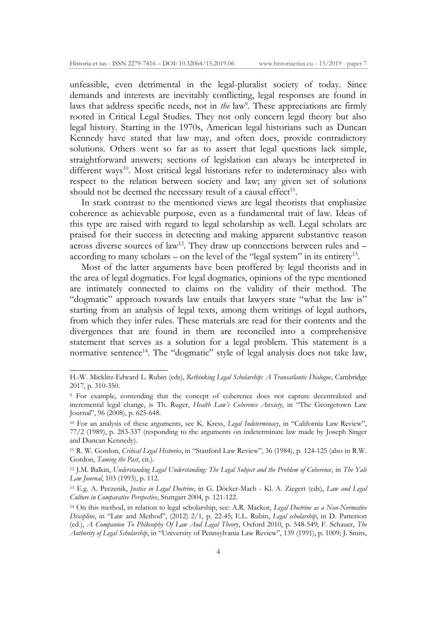-

unfeasible, even detrimental in the legal-pluralist society of today. Since demands and interests are inevitably conflicting, legal responses are found in laws that address specific needs, not in *the* law<sup>9</sup>. These appreciations are firmly rooted in Critical Legal Studies. They not only concern legal theory but also legal history. Starting in the 1970s, American legal historians such as Duncan Kennedy have stated that law may, and often does, provide contradictory solutions. Others went so far as to assert that legal questions lack simple, straightforward answers; sections of legislation can always be interpreted in different ways<sup>10</sup>. Most critical legal historians refer to indeterminacy also with respect to the relation between society and law; any given set of solutions should not be deemed the necessary result of a causal effect<sup>11</sup>.

In stark contrast to the mentioned views are legal theorists that emphasize coherence as achievable purpose, even as a fundamental trait of law. Ideas of this type are raised with regard to legal scholarship as well. Legal scholars are praised for their success in detecting and making apparent substantive reason across diverse sources of  $law^{12}$ . They draw up connections between rules and  $$ according to many scholars – on the level of the "legal system" in its entirety<sup>13</sup>.

Most of the latter arguments have been proffered by legal theorists and in the area of legal dogmatics. For legal dogmatics, opinions of the type mentioned are intimately connected to claims on the validity of their method. The "dogmatic" approach towards law entails that lawyers state "what the law is" starting from an analysis of legal texts, among them writings of legal authors, from which they infer rules. These materials are read for their contents and the divergences that are found in them are reconciled into a comprehensive statement that serves as a solution for a legal problem. This statement is a normative sentence<sup>14</sup>. The "dogmatic" style of legal analysis does not take law,

H.-W. Micklitz-Edward L. Rubin (eds), *Rethinking Legal Scholarship: A Transatlantic Dialogue*, Cambridge 2017, p. 310-350.

<sup>9</sup> For example, contending that the concept of coherence does not capture decentralized and incremental legal change, is Th. Ruger, *Health Law's Coherence Anxiety*, in "The Georgetown Law Journal", 96 (2008), p. 625-648.

<sup>10</sup> For an analysis of these arguments, see K. Kress, *Legal Indeterminacy*, in "California Law Review", 77/2 (1989), p. 283-337 (responding to the arguments on indeterminate law made by Joseph Singer and Duncan Kennedy).

<sup>11</sup> R. W. Gordon, *Critical Legal Histories*, in "Stanford Law Review", 36 (1984), p. 124-125 (also in R.W. Gordon, *Taming the Past*, cit.).

<sup>12</sup> J.M. Balkin, *Understanding Legal Understanding: The Legal Subject and the Problem of Coherence*, in *The Yale Law Journal*, 103 (1993), p. 112.

<sup>13</sup> E.g. A. Peczenik, *Justice in Legal Doctrine*, in G. Döcker-Mach - Kl. A. Ziegert (eds), *Law and Legal Culture in Comparative Perspective*, Stuttgart 2004, p. 121-122.

<sup>14</sup> On this method, in relation to legal scholarship, see: A.R. Mackor, *Legal Doctrine as a Non-Normative Discipline*, in "Law and Method", (2012) 2/1, p. 22-45; E.L. Rubin, *Legal scholarship*, in D. Patterson (ed.), *A Companion To Philosophy Of Law And Legal Theory*, Oxford 2010, p. 548-549; F. Schauer, *The Authority of Legal Scholarship*, in "University of Pennsylvania Law Review", 139 (1991), p. 1009; J. Smits,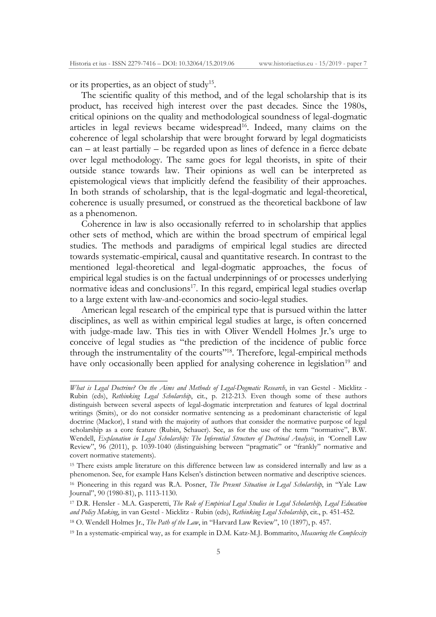or its properties, as an object of study15.

1

The scientific quality of this method, and of the legal scholarship that is its product, has received high interest over the past decades. Since the 1980s, critical opinions on the quality and methodological soundness of legal-dogmatic articles in legal reviews became widespread<sup>16</sup>. Indeed, many claims on the coherence of legal scholarship that were brought forward by legal dogmaticists can – at least partially – be regarded upon as lines of defence in a fierce debate over legal methodology. The same goes for legal theorists, in spite of their outside stance towards law. Their opinions as well can be interpreted as epistemological views that implicitly defend the feasibility of their approaches. In both strands of scholarship, that is the legal-dogmatic and legal-theoretical, coherence is usually presumed, or construed as the theoretical backbone of law as a phenomenon.

Coherence in law is also occasionally referred to in scholarship that applies other sets of method, which are within the broad spectrum of empirical legal studies. The methods and paradigms of empirical legal studies are directed towards systematic-empirical, causal and quantitative research. In contrast to the mentioned legal-theoretical and legal-dogmatic approaches, the focus of empirical legal studies is on the factual underpinnings of or processes underlying normative ideas and conclusions<sup>17</sup>. In this regard, empirical legal studies overlap to a large extent with law-and-economics and socio-legal studies.

American legal research of the empirical type that is pursued within the latter disciplines, as well as within empirical legal studies at large, is often concerned with judge-made law. This ties in with Oliver Wendell Holmes Jr.'s urge to conceive of legal studies as "the prediction of the incidence of public force through the instrumentality of the courts"18. Therefore, legal-empirical methods have only occasionally been applied for analysing coherence in legislation<sup>19</sup> and

*What is Legal Doctrine? On the Aims and Methods of Legal-Dogmatic Research*, in van Gestel - Micklitz - Rubin (eds), *Rethinking Legal Scholarship*, cit., p. 212-213. Even though some of these authors distinguish between several aspects of legal-dogmatic interpretation and features of legal doctrinal writings (Smits), or do not consider normative sentencing as a predominant characteristic of legal doctrine (Mackor), I stand with the majority of authors that consider the normative purpose of legal scholarship as a core feature (Rubin, Schauer). See, as for the use of the term "normative", B.W. Wendell, *Explanation in Legal Scholarship: The Inferential Structure of Doctrinal Analysis*, in *"*Cornell Law Review", 96 (2011), p. 1039-1040 (distinguishing between "pragmatic" or "frankly" normative and covert normative statements).

<sup>15</sup> There exists ample literature on this difference between law as considered internally and law as a phenomenon. See, for example Hans Kelsen's distinction between normative and descriptive sciences.

<sup>16</sup> Pioneering in this regard was R.A. Posner, *The Present Situation in Legal Scholarship*, in "Yale Law Journal", 90 (1980-81), p. 1113-1130.

<sup>17</sup> D.R. Hensler - M.A. Gasperetti, *The Role of Empirical Legal Studies in Legal Scholarship, Legal Education and Policy Making*, in van Gestel - Micklitz - Rubin (eds), *Rethinking Legal Scholarship*, cit., p. 451-452.

<sup>18</sup> O. Wendell Holmes Jr., *The Path of the Law*, in "Harvard Law Review", 10 (1897), p. 457.

<sup>19</sup> In a systematic-empirical way, as for example in D.M. Katz-M.J. Bommarito, *Measuring the Complexity*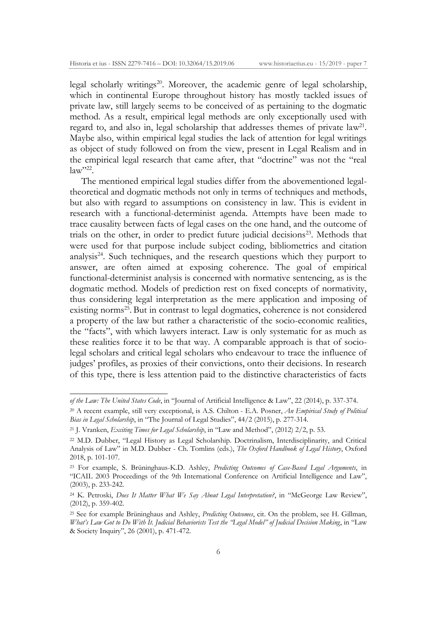legal scholarly writings<sup>20</sup>. Moreover, the academic genre of legal scholarship, which in continental Europe throughout history has mostly tackled issues of private law, still largely seems to be conceived of as pertaining to the dogmatic method. As a result, empirical legal methods are only exceptionally used with regard to, and also in, legal scholarship that addresses themes of private  $law<sup>21</sup>$ . Maybe also, within empirical legal studies the lack of attention for legal writings as object of study followed on from the view, present in Legal Realism and in the empirical legal research that came after, that "doctrine" was not the "real  $law''^{22}$ .

The mentioned empirical legal studies differ from the abovementioned legaltheoretical and dogmatic methods not only in terms of techniques and methods, but also with regard to assumptions on consistency in law. This is evident in research with a functional-determinist agenda. Attempts have been made to trace causality between facts of legal cases on the one hand, and the outcome of trials on the other, in order to predict future judicial decisions<sup>23</sup>. Methods that were used for that purpose include subject coding, bibliometrics and citation analysis<sup>24</sup>. Such techniques, and the research questions which they purport to answer, are often aimed at exposing coherence. The goal of empirical functional-determinist analysis is concerned with normative sentencing, as is the dogmatic method. Models of prediction rest on fixed concepts of normativity, thus considering legal interpretation as the mere application and imposing of existing norms<sup>25</sup>. But in contrast to legal dogmatics, coherence is not considered a property of the law but rather a characteristic of the socio-economic realities, the "facts", with which lawyers interact. Law is only systematic for as much as these realities force it to be that way. A comparable approach is that of sociolegal scholars and critical legal scholars who endeavour to trace the influence of judges' profiles, as proxies of their convictions, onto their decisions. In research of this type, there is less attention paid to the distinctive characteristics of facts

-

*of the Law: The United States Code*, in "Journal of Artificial Intelligence & Law", 22 (2014), p. 337-374.

<sup>20</sup> A recent example, still very exceptional, is A.S. Chilton - E.A. Posner, *An Empirical Study of Political Bias in Legal Scholarship*, in "The Journal of Legal Studies", 44/2 (2015), p. 277-314.

<sup>21</sup> J. Vranken, *Exciting Times for Legal Scholarship*, in "Law and Method", (2012) 2/2, p. 53.

<sup>22</sup> M.D. Dubber, "Legal History as Legal Scholarship. Doctrinalism, Interdisciplinarity, and Critical Analysis of Law" in M.D. Dubber - Ch. Tomlins (eds.), *The Oxford Handbook of Legal History*, Oxford 2018, p. 101-107.

<sup>23</sup> For example, S. Brüninghaus-K.D. Ashley, *Predicting Outcomes of Case-Based Legal Arguments*, in "ICAIL 2003 Proceedings of the 9th International Conference on Artificial Intelligence and Law", (2003), p. 233-242.

<sup>24</sup> K. Petroski, *Does It Matter What We Say About Legal Interpretation?*, in "McGeorge Law Review", (2012), p. 359-402.

<sup>25</sup> See for example Brüninghaus and Ashley, *Predicting Outcomes*, cit. On the problem, see H. Gillman, *What's Law Got to Do With It. Judicial Behaviorists Test the "Legal Model" of Judicial Decision Making*, in "Law & Society Inquiry", 26 (2001), p. 471-472.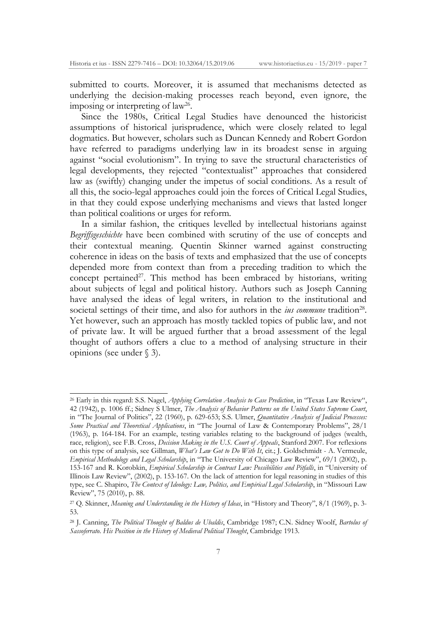-

submitted to courts. Moreover, it is assumed that mechanisms detected as underlying the decision-making processes reach beyond, even ignore, the imposing or interpreting of law<sup>26</sup>.

Since the 1980s, Critical Legal Studies have denounced the historicist assumptions of historical jurisprudence, which were closely related to legal dogmatics. But however, scholars such as Duncan Kennedy and Robert Gordon have referred to paradigms underlying law in its broadest sense in arguing against "social evolutionism". In trying to save the structural characteristics of legal developments, they rejected "contextualist" approaches that considered law as (swiftly) changing under the impetus of social conditions. As a result of all this, the socio-legal approaches could join the forces of Critical Legal Studies, in that they could expose underlying mechanisms and views that lasted longer than political coalitions or urges for reform.

In a similar fashion, the critiques levelled by intellectual historians against *Begriffsgeschichte* have been combined with scrutiny of the use of concepts and their contextual meaning. Quentin Skinner warned against constructing coherence in ideas on the basis of texts and emphasized that the use of concepts depended more from context than from a preceding tradition to which the concept pertained<sup>27</sup>. This method has been embraced by historians, writing about subjects of legal and political history. Authors such as Joseph Canning have analysed the ideas of legal writers, in relation to the institutional and societal settings of their time, and also for authors in the *ius commune* tradition<sup>28</sup>. Yet however, such an approach has mostly tackled topics of public law, and not of private law. It will be argued further that a broad assessment of the legal thought of authors offers a clue to a method of analysing structure in their opinions (see under § 3).

<sup>26</sup> Early in this regard: S.S. Nagel, *Applying Correlation Analysis to Case Prediction*, in "Texas Law Review", 42 (1942), p. 1006 ff.; Sidney S Ulmer, *The Analysis of Behavior Patterns on the United States Supreme Court*,

in "The Journal of Politics", 22 (1960), p. 629-653; S.S. Ulmer, *Quantitative Analysis of Judicial Processes: Some Practical and Theoretical Applications*, in "The Journal of Law & Contemporary Problems", 28/1 (1963), p. 164-184. For an example, testing variables relating to the background of judges (wealth, race, religion), see F.B. Cross, *Decision Making in the U.S. Court of Appeals*, Stanford 2007. For reflexions on this type of analysis, see Gillman, *What's Law Got to Do With It*, cit.; J. Goldschmidt - A. Vermeule, *Empirical Methodology and Legal Scholarship*, in "The University of Chicago Law Review", 69/1 (2002), p. 153-167 and R. Korobkin, *Empirical Scholarship in Contract Law: Possibilities and Pitfalls*, in "University of Illinois Law Review", (2002), p. 153-167. On the lack of attention for legal reasoning in studies of this type, see C. Shapiro, *The Context of Ideology: Law, Politics, and Empirical Legal Scholarship*, in "Missouri Law Review", 75 (2010), p. 88.

<sup>27</sup> Q. Skinner, *Meaning and Understanding in the History of Ideas*, in "History and Theory", 8/1 (1969), p. 3- 53.

<sup>28</sup> J. Canning, *The Political Thought of Baldus de Ubaldis*, Cambridge 1987; C.N. Sidney Woolf, *Bartolus of Sassoferrato. His Position in the History of Medieval Political Thought*, Cambridge 1913.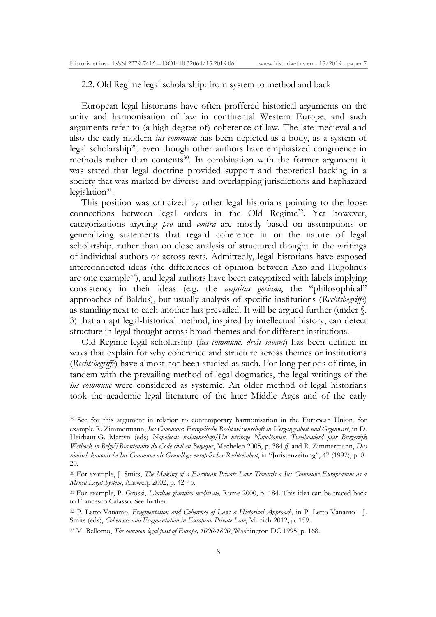2.2. Old Regime legal scholarship: from system to method and back

European legal historians have often proffered historical arguments on the unity and harmonisation of law in continental Western Europe, and such arguments refer to (a high degree of) coherence of law. The late medieval and also the early modern *ius commune* has been depicted as a body, as a system of legal scholarship29, even though other authors have emphasized congruence in methods rather than contents<sup>30</sup>. In combination with the former argument it was stated that legal doctrine provided support and theoretical backing in a society that was marked by diverse and overlapping jurisdictions and haphazard legislation $31$ .

This position was criticized by other legal historians pointing to the loose connections between legal orders in the Old Regime<sup>32</sup>. Yet however, categorizations arguing *pro* and *contra* are mostly based on assumptions or generalizing statements that regard coherence in or the nature of legal scholarship, rather than on close analysis of structured thought in the writings of individual authors or across texts. Admittedly, legal historians have exposed interconnected ideas (the differences of opinion between Azo and Hugolinus are one example<sup>33</sup>), and legal authors have been categorized with labels implying consistency in their ideas (e.g. the *aequitas gosiana*, the "philosophical" approaches of Baldus), but usually analysis of specific institutions (*Rechtsbegriffe*) as standing next to each another has prevailed. It will be argued further (under §. 3) that an apt legal-historical method, inspired by intellectual history, can detect structure in legal thought across broad themes and for different institutions.

Old Regime legal scholarship (*ius commune*, *droit savant*) has been defined in ways that explain for why coherence and structure across themes or institutions (*Rechtsbegriffe*) have almost not been studied as such. For long periods of time, in tandem with the prevailing method of legal dogmatics, the legal writings of the *ius commune* were considered as systemic. An older method of legal historians took the academic legal literature of the later Middle Ages and of the early

<sup>29</sup> See for this argument in relation to contemporary harmonisation in the European Union, for example R. Zimmermann, *Ius Commune*: *Europäische Rechtswissenschaft in Vergangenheit und Gegenwart*, in D. Heirbaut-G. Martyn (eds) *Napoleons nalatenschap/Un heritage Napoleonien, Tweehonderd jaar Burgerlijk Wetboek in België/Bicentenaire du Code civil en Belgique*, Mechelen 2005, p. 384 *ff.* and R. Zimmermann, *Das römisch-kanonische Ius Commune als Grundlage europäischer Rechtseinheit*, in "Juristenzeitung", 47 (1992), p. 8- 20.

<sup>30</sup> For example, J. Smits, *The Making of a European Private Law: Towards a Ius Commune Europeaeum as a Mixed Legal System*, Antwerp 2002, p. 42-45.

<sup>31</sup> For example, P. Grossi, *L'ordine giuridico medievale*, Rome 2000, p. 184. This idea can be traced back to Francesco Calasso. See further.

<sup>32</sup> P. Letto-Vanamo, *Fragmentation and Coherence of Law: a Historical Approach*, in P. Letto-Vanamo - J. Smits (eds), *Coherence and Fragmentation in European Private Law*, Munich 2012, p. 159.

<sup>33</sup> M. Bellomo, *The common legal past of Europe, 1000-1800*, Washington DC 1995, p. 168.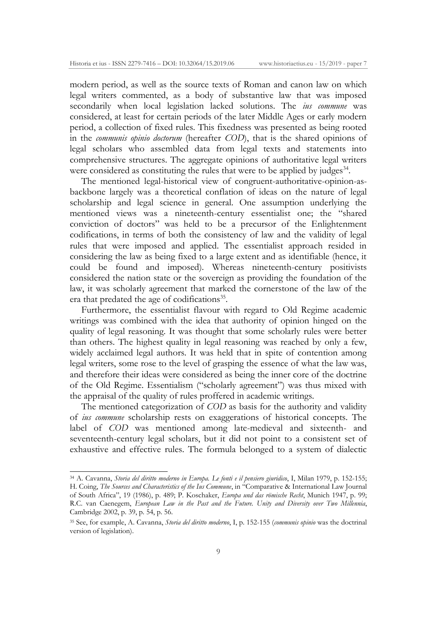modern period, as well as the source texts of Roman and canon law on which legal writers commented, as a body of substantive law that was imposed secondarily when local legislation lacked solutions. The *ius commune* was considered, at least for certain periods of the later Middle Ages or early modern period, a collection of fixed rules. This fixedness was presented as being rooted in the *communis opinio doctorum* (hereafter *COD*), that is the shared opinions of legal scholars who assembled data from legal texts and statements into comprehensive structures. The aggregate opinions of authoritative legal writers were considered as constituting the rules that were to be applied by judges $34$ .

The mentioned legal-historical view of congruent-authoritative-opinion-asbackbone largely was a theoretical conflation of ideas on the nature of legal scholarship and legal science in general. One assumption underlying the mentioned views was a nineteenth-century essentialist one; the "shared conviction of doctors" was held to be a precursor of the Enlightenment codifications, in terms of both the consistency of law and the validity of legal rules that were imposed and applied. The essentialist approach resided in considering the law as being fixed to a large extent and as identifiable (hence, it could be found and imposed). Whereas nineteenth-century positivists considered the nation state or the sovereign as providing the foundation of the law, it was scholarly agreement that marked the cornerstone of the law of the era that predated the age of codifications<sup>35</sup>.

Furthermore, the essentialist flavour with regard to Old Regime academic writings was combined with the idea that authority of opinion hinged on the quality of legal reasoning. It was thought that some scholarly rules were better than others. The highest quality in legal reasoning was reached by only a few, widely acclaimed legal authors. It was held that in spite of contention among legal writers, some rose to the level of grasping the essence of what the law was, and therefore their ideas were considered as being the inner core of the doctrine of the Old Regime. Essentialism ("scholarly agreement") was thus mixed with the appraisal of the quality of rules proffered in academic writings.

The mentioned categorization of *COD* as basis for the authority and validity of *ius commune* scholarship rests on exaggerations of historical concepts. The label of *COD* was mentioned among late-medieval and sixteenth- and seventeenth-century legal scholars, but it did not point to a consistent set of exhaustive and effective rules. The formula belonged to a system of dialectic

-

<sup>34</sup> A. Cavanna, *Storia del diritto moderno in Europa. Le fonti e il pensiero giuridico*, I, Milan 1979, p. 152-155; H. Coing, *The Sources and Characteristics of the Ius Commune*, in "Comparative & International Law Journal of South Africa", 19 (1986), p. 489; P. Koschaker, *Europa und das römische Recht*, Munich 1947, p. 99; R.C. van Caenegem, *European Law in the Past and the Future. Unity and Diversity over Two Millennia*, Cambridge 2002, p. 39, p. 54, p. 56.

<sup>35</sup> See, for example, A. Cavanna, *Storia del diritto moderno*, I, p. 152-155 (*communis opinio* was the doctrinal version of legislation).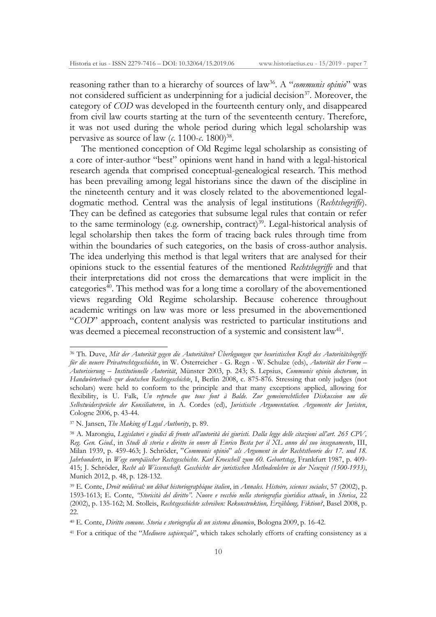reasoning rather than to a hierarchy of sources of law36. A "*communis opinio*" was not considered sufficient as underpinning for a judicial decision<sup>37</sup>. Moreover, the category of *COD* was developed in the fourteenth century only, and disappeared from civil law courts starting at the turn of the seventeenth century. Therefore, it was not used during the whole period during which legal scholarship was pervasive as source of law  $(c. 1100-\epsilon. 1800)^{38}$ .

The mentioned conception of Old Regime legal scholarship as consisting of a core of inter-author "best" opinions went hand in hand with a legal-historical research agenda that comprised conceptual-genealogical research. This method has been prevailing among legal historians since the dawn of the discipline in the nineteenth century and it was closely related to the abovementioned legaldogmatic method. Central was the analysis of legal institutions (*Rechtsbegriffe*). They can be defined as categories that subsume legal rules that contain or refer to the same terminology (e.g. ownership, contract)<sup>39</sup>. Legal-historical analysis of legal scholarship then takes the form of tracing back rules through time from within the boundaries of such categories, on the basis of cross-author analysis. The idea underlying this method is that legal writers that are analysed for their opinions stuck to the essential features of the mentioned *Rechtsbegriffe* and that their interpretations did not cross the demarcations that were implicit in the categories<sup> $40$ </sup>. This method was for a long time a corollary of the abovementioned views regarding Old Regime scholarship. Because coherence throughout academic writings on law was more or less presumed in the abovementioned "*COD*" approach, content analysis was restricted to particular institutions and was deemed a piecemeal reconstruction of a systemic and consistent law<sup>41</sup>.

1

<sup>40</sup> E. Conte, *Diritto comune. Storia e storiografia di un sistema dinamico*, Bologna 2009, p. 16-42.

<sup>41</sup> For a critique of the "*Medioevo sapienzale*", which takes scholarly efforts of crafting consistency as a

<sup>36</sup> Th. Duve, *Mit der Autorität gegen die Autoritäten? Überlegungen zur heuristischen Kraft des Autoritätsbegriffs für die neuere Privatrechtsgeschichte*, in W. Österreicher - G. Regn - W. Schulze (eds), *Autorität der Form – Autorisierung – Institutionelle Autorität*, Münster 2003, p. 243; S. Lepsius, *Communis opinio doctorum*, in *Handwörterbuch zur deutschen Rechtsgeschichte*, I, Berlin 2008, c. 875-876. Stressing that only judges (not scholars) were held to conform to the principle and that many exceptions applied, allowing for flexibility, is U. Falk, *Un reproche que tous font à Balde. Zur gemeinrechtlichen Diskussion um die Selbstwidersprüche der Konsiliatoren*, in A. Cordes (ed), *Juristische Argumentation. Argumente der Juristen*, Cologne 2006, p. 43-44.

<sup>37</sup> N. Jansen, *The Making of Legal Authority*, p. 89.

<sup>38</sup> A. Marongiu, *Legislatori e giudici di fronte all'autorità dei giuristi. Dalla legge delle citazioni all'art. 265 CPV, Reg. Gen. Giud.*, in *Studi di storia e diritto in onore di Enrico Besta per il XL anno del suo insegnamento*, III, Milan 1939, p. 459-463; J. Schröder, "*Communis opinio*" *als Argument in der Rechtstheorie des 17. und 18. Jahrhunderts*, in *Wege europäischer Rectsgeschichte. Karl Kroeschell zum 60. Geburtstag*, Frankfurt 1987, p. 409- 415; J. Schröder, *Recht als Wissenschaft. Geschichte der juristischen Methodenlehre in der Neuzeit (1500-1933)*, Munich 2012, p. 48, p. 128-132.

<sup>39</sup> E. Conte, *Droit médiéval: un débat historiographique italien*, in *Annales. Histoire, sciences sociales*, 57 (2002), p. 1593-1613; E. Conte, *"Storicità del diritto". Nuove e vecchio nella storiografia giuridica attuale*, in *Storica*, 22 (2002), p. 135-162; M. Stolleis, *Rechtsgeschichte schreiben: Rekonstruktion, Erzählung, Fiktion?*, Basel 2008, p. 22.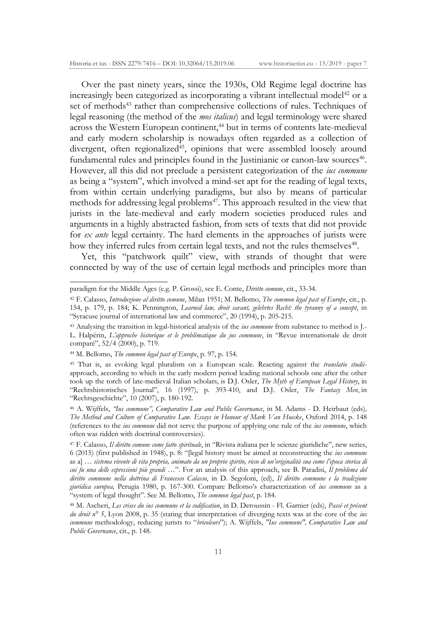Over the past ninety years, since the 1930s, Old Regime legal doctrine has increasingly been categorized as incorporating a vibrant intellectual model<sup>42</sup> or a set of methods<sup>43</sup> rather than comprehensive collections of rules. Techniques of legal reasoning (the method of the *mos italicus*) and legal terminology were shared  $\overrightarrow{a}$  across the Western European continent,<sup>44</sup> but in terms of contents late-medieval and early modern scholarship is nowadays often regarded as a collection of divergent, often regionalized $\frac{4}{3}$ , opinions that were assembled loosely around fundamental rules and principles found in the Justinianic or canon-law sources<sup>46</sup>. However, all this did not preclude a persistent categorization of the *ius commune*  as being a "system", which involved a mind-set apt for the reading of legal texts, from within certain underlying paradigms, but also by means of particular methods for addressing legal problems<sup>47</sup>. This approach resulted in the view that jurists in the late-medieval and early modern societies produced rules and arguments in a highly abstracted fashion, from sets of texts that did not provide for *ex ante* legal certainty. The hard elements in the approaches of jurists were how they inferred rules from certain legal texts, and not the rules themselves<sup>48</sup>.

Yet, this "patchwork quilt" view, with strands of thought that were connected by way of the use of certain legal methods and principles more than

paradigm for the Middle Ages (e.g. P. Grossi), see E. Conte, *Diritto comune*, cit., 33-34.

<sup>42</sup> F. Calasso, *Introduzione al diritto comune*, Milan 1951; M. Bellomo, *The common legal past of Europe*, cit., p. 154, p. 179, p. 184; K. Pennington, *Learned law, droit savant, gelehrtes Recht: the tyranny of a concept*, in "Syracuse journal of international law and commerce", 20 (1994), p. 205-215.

<sup>43</sup> Analysing the transition in legal-historical analysis of the *ius commune* from substance to method is J.- L. Halpérin, *L'approche historique et le problematique du jus commune*, in "Revue internationale de droit comparé", 52/4 (2000), p. 719.

<sup>44</sup> M. Bellomo, *The common legal past of Europe*, p. 97, p. 154.

<sup>45</sup> That is, as evoking legal pluralism on a European scale. Reacting against the *translatio studii*approach, according to which in the early modern period leading national schools one after the other took up the torch of late-medieval Italian scholars, is D.J. Osler, *The Myth of European Legal History*, in "Rechtshistorisches Journal", 16 (1997), p. 393-410, and D.J. Osler, *The Fantasy Men*, in "Rechtsgeschichte", 10 (2007), p. 180-192.

<sup>46</sup> A. Wijffels, *"Ius commune", Comparative Law and Public Governance*, in M. Adams - D. Heirbaut (eds)*, The Method and Culture of Comparative Law. Essays in Honour of Mark Van Hoecke*, Oxford 2014, p. 148 (references to the *ius commune* did not serve the purpose of applying one rule of the *ius commune*, which often was ridden with doctrinal controversies).

<sup>47</sup> F. Calasso, *Il diritto comune come fatto spirituale*, in "Rivista italiana per le scienze giuridiche", new series, 6 (2015) (first published in 1948), p. 8: "[legal history must be aimed at reconstructing the *ius commune*  as a] *… sistema vivente di vita propria, animato da un proprio spirito, ricco di un'originalità sua come l'epoca storica di cui fu una delle espressioni più grandi …*". For an analysis of this approach, see B. Paradisi, *Il problema del diritto commune nella dottrina di Francesco Calasso*, in D. Segoloni, (ed), *Il diritto commune e la tradizione giuridica europea,* Perugia 1980, p. 167-300. Compare Bellomo's characterization of *ius commune* as a "system of legal thought". See M. Bellomo, *The common legal past*, p. 184.

<sup>48</sup> M. Ascheri, *Les crises du ius commune et la codification*, in D. Deroussin - Fl. Garnier (eds), *Passé et présent du droit n° 5*, Lyon 2008, p. 35 (stating that interpretation of diverging texts was at the core of the *ius commune* methodology, reducing jurists to "*bricoleurs*"); A. Wijffels, *"Ius commune", Comparative Law and Public Governance*, cit., p. 148.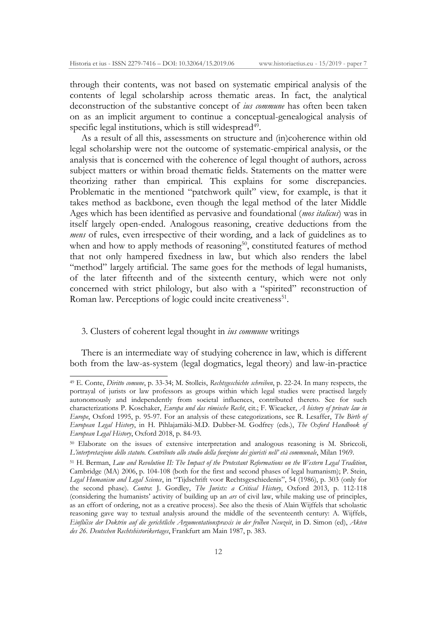through their contents, was not based on systematic empirical analysis of the contents of legal scholarship across thematic areas. In fact, the analytical deconstruction of the substantive concept of *ius commune* has often been taken on as an implicit argument to continue a conceptual-genealogical analysis of specific legal institutions, which is still widespread<sup>49</sup>.

As a result of all this, assessments on structure and (in)coherence within old legal scholarship were not the outcome of systematic-empirical analysis, or the analysis that is concerned with the coherence of legal thought of authors, across subject matters or within broad thematic fields. Statements on the matter were theorizing rather than empirical. This explains for some discrepancies. Problematic in the mentioned "patchwork quilt" view, for example, is that it takes method as backbone, even though the legal method of the later Middle Ages which has been identified as pervasive and foundational (*mos italicus*) was in itself largely open-ended. Analogous reasoning, creative deductions from the *mens* of rules, even irrespective of their wording, and a lack of guidelines as to when and how to apply methods of reasoning<sup>50</sup>, constituted features of method that not only hampered fixedness in law, but which also renders the label "method" largely artificial. The same goes for the methods of legal humanists, of the later fifteenth and of the sixteenth century, which were not only concerned with strict philology, but also with a "spirited" reconstruction of Roman law. Perceptions of logic could incite creativeness<sup>51</sup>.

## 3. Clusters of coherent legal thought in *ius commune* writings

1

There is an intermediate way of studying coherence in law, which is different both from the law-as-system (legal dogmatics, legal theory) and law-in-practice

<sup>49</sup> E. Conte, *Diritto comune*, p. 33-34; M. Stolleis, *Rechtsgeschichte schreiben*, p. 22-24. In many respects, the portrayal of jurists or law professors as groups within which legal studies were practised largely autonomously and independently from societal influences, contributed thereto. See for such characterizations P. Koschaker, *Europa und das römische Recht*, cit.; F. Wieacker, *A history of private law in Europe*, Oxford 1995, p. 95-97. For an analysis of these categorizations, see R. Lesaffer, *The Birth of European Legal History*, in H. Pihlajamäki-M.D. Dubber-M. Godfrey (eds.), *The Oxford Handbook of European Legal History*, Oxford 2018, p. 84-93.

<sup>50</sup> Elaborate on the issues of extensive interpretation and analogous reasoning is M. Sbriccoli, *L'interpretazione dello statuto. Contributo allo studio della funzione dei giuristi nell' età communale*, Milan 1969.

<sup>51</sup> H. Berman, *Law and Revolution II: The Impact of the Protestant Reformations on the Western Legal Tradition*, Cambridge (MA) 2006, p. 104-108 (both for the first and second phases of legal humanism); P. Stein, *Legal Humanism and Legal Science*, in "Tijdschrift voor Rechtsgeschiedenis", 54 (1986), p. 303 (only for the second phase). *Contra*: J. Gordley, *The Jurists: a Critical History*, Oxford 2013, p. 112-118 (considering the humanists' activity of building up an *ars* of civil law, while making use of principles, as an effort of ordering, not as a creative process). See also the thesis of Alain Wijffels that scholastic reasoning gave way to textual analysis around the middle of the seventeenth century: A. Wijffels, *Einflüsse der Doktrin auf die gerichtliche Argumentationspraxis in der frühen Neuzeit*, in D. Simon (ed), *Akten des 26. Deutschen Rechtshistorikertages*, Frankfurt am Main 1987, p. 383.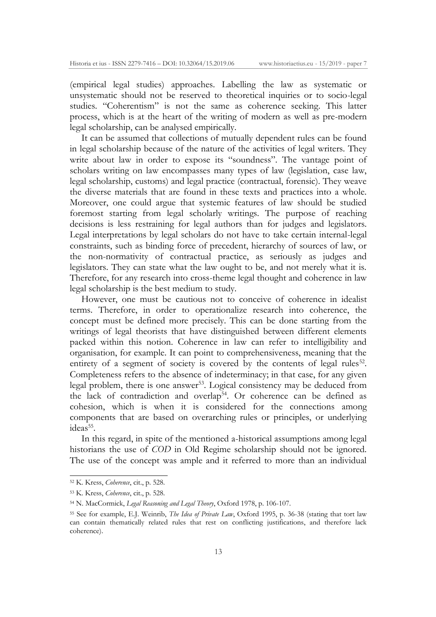(empirical legal studies) approaches. Labelling the law as systematic or unsystematic should not be reserved to theoretical inquiries or to socio-legal studies. "Coherentism" is not the same as coherence seeking. This latter process, which is at the heart of the writing of modern as well as pre-modern legal scholarship, can be analysed empirically.

It can be assumed that collections of mutually dependent rules can be found in legal scholarship because of the nature of the activities of legal writers. They write about law in order to expose its "soundness". The vantage point of scholars writing on law encompasses many types of law (legislation, case law, legal scholarship, customs) and legal practice (contractual, forensic). They weave the diverse materials that are found in these texts and practices into a whole. Moreover, one could argue that systemic features of law should be studied foremost starting from legal scholarly writings. The purpose of reaching decisions is less restraining for legal authors than for judges and legislators. Legal interpretations by legal scholars do not have to take certain internal-legal constraints, such as binding force of precedent, hierarchy of sources of law, or the non-normativity of contractual practice, as seriously as judges and legislators. They can state what the law ought to be, and not merely what it is. Therefore, for any research into cross-theme legal thought and coherence in law legal scholarship is the best medium to study.

However, one must be cautious not to conceive of coherence in idealist terms. Therefore, in order to operationalize research into coherence, the concept must be defined more precisely. This can be done starting from the writings of legal theorists that have distinguished between different elements packed within this notion. Coherence in law can refer to intelligibility and organisation, for example. It can point to comprehensiveness, meaning that the entirety of a segment of society is covered by the contents of legal rules<sup>52</sup>. Completeness refers to the absence of indeterminacy; in that case, for any given legal problem, there is one answer<sup>53</sup>. Logical consistency may be deduced from the lack of contradiction and overlap<sup>54</sup>. Or coherence can be defined as cohesion, which is when it is considered for the connections among components that are based on overarching rules or principles, or underlying ideas<sup>55</sup>.

In this regard, in spite of the mentioned a-historical assumptions among legal historians the use of *COD* in Old Regime scholarship should not be ignored. The use of the concept was ample and it referred to more than an individual

<sup>52</sup> K. Kress, *Coherence*, cit., p. 528.

<sup>53</sup> K. Kress, *Coherence*, cit., p. 528.

<sup>54</sup> N. MacCormick, *Legal Reasoning and Legal Theory*, Oxford 1978, p. 106-107.

<sup>55</sup> See for example, E.J. Weinrib, *The Idea of Private Law*, Oxford 1995, p. 36-38 (stating that tort law can contain thematically related rules that rest on conflicting justifications, and therefore lack coherence).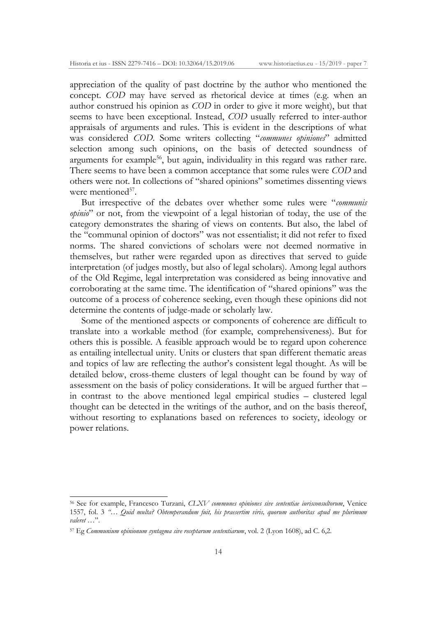appreciation of the quality of past doctrine by the author who mentioned the concept. *COD* may have served as rhetorical device at times (e.g. when an author construed his opinion as *COD* in order to give it more weight), but that seems to have been exceptional. Instead, *COD* usually referred to inter-author appraisals of arguments and rules. This is evident in the descriptions of what was considered *COD*. Some writers collecting "*communes opiniones*" admitted selection among such opinions, on the basis of detected soundness of arguments for example<sup>56</sup>, but again, individuality in this regard was rather rare. There seems to have been a common acceptance that some rules were *COD* and others were not. In collections of "shared opinions" sometimes dissenting views were mentioned<sup>57</sup>.

But irrespective of the debates over whether some rules were "*communis opinio*" or not, from the viewpoint of a legal historian of today, the use of the category demonstrates the sharing of views on contents. But also, the label of the "communal opinion of doctors" was not essentialist; it did not refer to fixed norms. The shared convictions of scholars were not deemed normative in themselves, but rather were regarded upon as directives that served to guide interpretation (of judges mostly, but also of legal scholars). Among legal authors of the Old Regime, legal interpretation was considered as being innovative and corroborating at the same time. The identification of "shared opinions" was the outcome of a process of coherence seeking, even though these opinions did not determine the contents of judge-made or scholarly law.

Some of the mentioned aspects or components of coherence are difficult to translate into a workable method (for example, comprehensiveness). But for others this is possible. A feasible approach would be to regard upon coherence as entailing intellectual unity. Units or clusters that span different thematic areas and topics of law are reflecting the author's consistent legal thought. As will be detailed below, cross-theme clusters of legal thought can be found by way of assessment on the basis of policy considerations. It will be argued further that – in contrast to the above mentioned legal empirical studies – clustered legal thought can be detected in the writings of the author, and on the basis thereof, without resorting to explanations based on references to society, ideology or power relations.

-

<sup>56</sup> See for example, Francesco Turzani, *CLXV communes opiniones sive sententiae iurisconsultorum*, Venice 1557, fol. 3 *"… Quid multa? Obtemperandum fuit, his praesertim viris, quorum authoritas apud me plurimum valeret …*".

<sup>57</sup> Eg *Communium opinionum syntagma sive receptarum sententiarum*, vol. 2 (Lyon 1608), ad C. 6,2.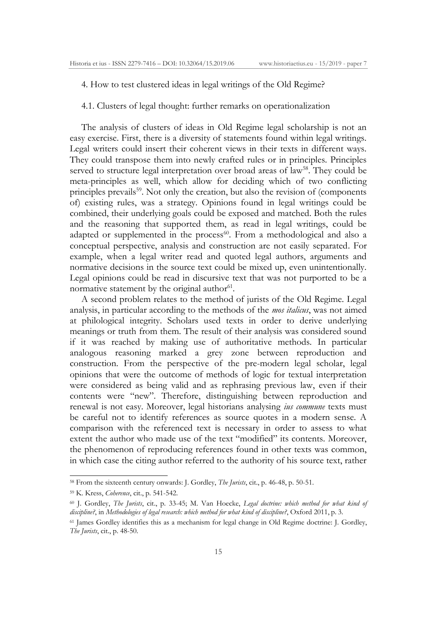4. How to test clustered ideas in legal writings of the Old Regime?

4.1. Clusters of legal thought: further remarks on operationalization

The analysis of clusters of ideas in Old Regime legal scholarship is not an easy exercise. First, there is a diversity of statements found within legal writings. Legal writers could insert their coherent views in their texts in different ways. They could transpose them into newly crafted rules or in principles. Principles served to structure legal interpretation over broad areas of law<sup>58</sup>. They could be meta-principles as well, which allow for deciding which of two conflicting principles prevails<sup>59</sup>. Not only the creation, but also the revision of (components of) existing rules, was a strategy. Opinions found in legal writings could be combined, their underlying goals could be exposed and matched. Both the rules and the reasoning that supported them, as read in legal writings, could be adapted or supplemented in the process<sup>60</sup>. From a methodological and also a conceptual perspective, analysis and construction are not easily separated. For example, when a legal writer read and quoted legal authors, arguments and normative decisions in the source text could be mixed up, even unintentionally. Legal opinions could be read in discursive text that was not purported to be a normative statement by the original author $61$ .

A second problem relates to the method of jurists of the Old Regime. Legal analysis, in particular according to the methods of the *mos italicus*, was not aimed at philological integrity. Scholars used texts in order to derive underlying meanings or truth from them. The result of their analysis was considered sound if it was reached by making use of authoritative methods. In particular analogous reasoning marked a grey zone between reproduction and construction. From the perspective of the pre-modern legal scholar, legal opinions that were the outcome of methods of logic for textual interpretation were considered as being valid and as rephrasing previous law, even if their contents were "new". Therefore, distinguishing between reproduction and renewal is not easy. Moreover, legal historians analysing *ius commune* texts must be careful not to identify references as source quotes in a modern sense. A comparison with the referenced text is necessary in order to assess to what extent the author who made use of the text "modified" its contents. Moreover, the phenomenon of reproducing references found in other texts was common, in which case the citing author referred to the authority of his source text, rather

<sup>58</sup> From the sixteenth century onwards: J. Gordley, *The Jurists*, cit., p. 46-48, p. 50-51.

<sup>59</sup> K. Kress, *Coherence*, cit., p. 541-542.

<sup>60</sup> J. Gordley, *The Jurists*, cit., p. 33-45; M. Van Hoecke, *Legal doctrine: which method for what kind of discipline?*, in *Methodologies of legal research: which method for what kind of discipline?*, Oxford 2011, p. 3.

<sup>61</sup> James Gordley identifies this as a mechanism for legal change in Old Regime doctrine: J. Gordley, *The Jurists*, cit., p. 48-50.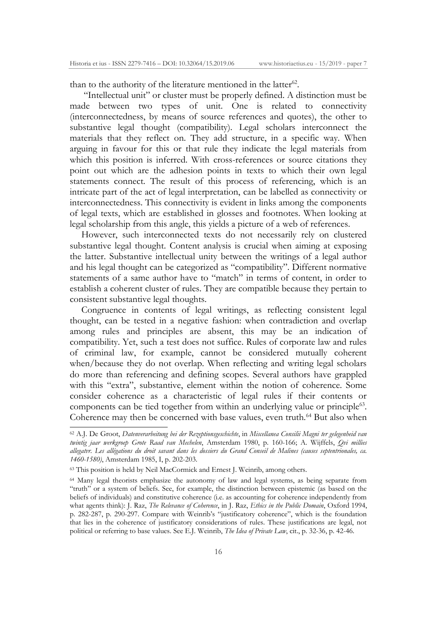than to the authority of the literature mentioned in the latter<sup>62</sup>.

"Intellectual unit" or cluster must be properly defined. A distinction must be made between two types of unit. One is related to connectivity (interconnectedness, by means of source references and quotes), the other to substantive legal thought (compatibility). Legal scholars interconnect the materials that they reflect on. They add structure, in a specific way. When arguing in favour for this or that rule they indicate the legal materials from which this position is inferred. With cross-references or source citations they point out which are the adhesion points in texts to which their own legal statements connect. The result of this process of referencing, which is an intricate part of the act of legal interpretation, can be labelled as connectivity or interconnectedness. This connectivity is evident in links among the components of legal texts, which are established in glosses and footnotes. When looking at legal scholarship from this angle, this yields a picture of a web of references.

However, such interconnected texts do not necessarily rely on clustered substantive legal thought. Content analysis is crucial when aiming at exposing the latter. Substantive intellectual unity between the writings of a legal author and his legal thought can be categorized as "compatibility". Different normative statements of a same author have to "match" in terms of content, in order to establish a coherent cluster of rules. They are compatible because they pertain to consistent substantive legal thoughts.

Congruence in contents of legal writings, as reflecting consistent legal thought, can be tested in a negative fashion: when contradiction and overlap among rules and principles are absent, this may be an indication of compatibility. Yet, such a test does not suffice. Rules of corporate law and rules of criminal law, for example, cannot be considered mutually coherent when/because they do not overlap. When reflecting and writing legal scholars do more than referencing and defining scopes. Several authors have grappled with this "extra", substantive, element within the notion of coherence. Some consider coherence as a characteristic of legal rules if their contents or components can be tied together from within an underlying value or principle<sup>63</sup>. Coherence may then be concerned with base values, even truth.<sup>64</sup> But also when

<sup>62</sup> A.J. De Groot, *Datenverarbeitung bei der Rezeptionsgeschichte*, in *Miscellanea Consilii Magni ter gelegenheid van twintig jaar werkgroep Grote Raad van Mechelen*, Amsterdam 1980, p. 160-166; A. Wijffels, *Qvi millies allegatvr. Les allégations du droit savant dans les dossiers du Grand Conseil de Malines (causes septentrionales, ca. 1460-1580)*, Amsterdam 1985, I, p. 202-203.

<sup>63</sup> This position is held by Neil MacCormick and Ernest J. Weinrib, among others.

<sup>64</sup> Many legal theorists emphasize the autonomy of law and legal systems, as being separate from "truth" or a system of beliefs. See, for example, the distinction between epistemic (as based on the beliefs of individuals) and constitutive coherence (i.e. as accounting for coherence independently from what agents think): J. Raz, *The Relevance of Coherence*, in J. Raz, *Ethics in the Public Domain*, Oxford 1994, p. 282-287, p. 290-297. Compare with Weinrib's "justificatory coherence", which is the foundation that lies in the coherence of justificatory considerations of rules. These justifications are legal, not political or referring to base values. See E.J. Weinrib, *The Idea of Private Law*, cit., p. 32-36, p. 42-46.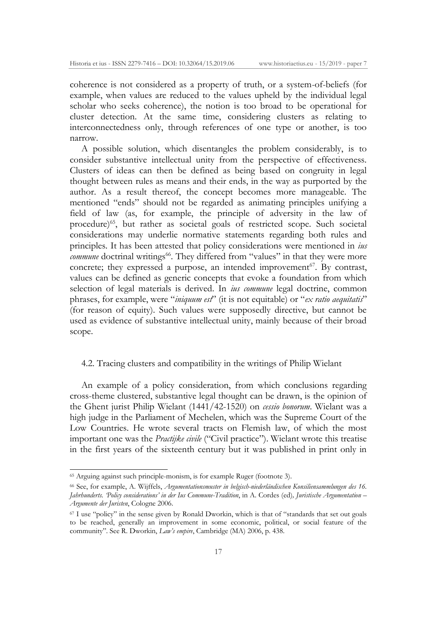coherence is not considered as a property of truth, or a system-of-beliefs (for example, when values are reduced to the values upheld by the individual legal scholar who seeks coherence), the notion is too broad to be operational for cluster detection. At the same time, considering clusters as relating to interconnectedness only, through references of one type or another, is too narrow.

A possible solution, which disentangles the problem considerably, is to consider substantive intellectual unity from the perspective of effectiveness. Clusters of ideas can then be defined as being based on congruity in legal thought between rules as means and their ends, in the way as purported by the author. As a result thereof, the concept becomes more manageable. The mentioned "ends" should not be regarded as animating principles unifying a field of law (as, for example, the principle of adversity in the law of procedure)<sup>65</sup>, but rather as societal goals of restricted scope. Such societal considerations may underlie normative statements regarding both rules and principles. It has been attested that policy considerations were mentioned in *ius commune* doctrinal writings<sup>66</sup>. They differed from "values" in that they were more concrete; they expressed a purpose, an intended improvement $67$ . By contrast, values can be defined as generic concepts that evoke a foundation from which selection of legal materials is derived. In *ius commune* legal doctrine, common phrases, for example, were "*iniquum est*" (it is not equitable) or "*ex ratio aequitatis*" (for reason of equity). Such values were supposedly directive, but cannot be used as evidence of substantive intellectual unity, mainly because of their broad scope.

#### 4.2. Tracing clusters and compatibility in the writings of Philip Wielant

An example of a policy consideration, from which conclusions regarding cross-theme clustered, substantive legal thought can be drawn, is the opinion of the Ghent jurist Philip Wielant (1441/42-1520) on *cessio bonorum*. Wielant was a high judge in the Parliament of Mechelen, which was the Supreme Court of the Low Countries. He wrote several tracts on Flemish law, of which the most important one was the *Practijke civile* ("Civil practice"). Wielant wrote this treatise in the first years of the sixteenth century but it was published in print only in

<sup>65</sup> Arguing against such principle-monism, is for example Ruger (footnote 3).

<sup>66</sup> See, for example, A. Wijffels, *Argumentationsmuster in belgisch-niederländischen Konsiliensammlungen des 16. Jahrhunderts. 'Policy considerations' in der Ius Commune-Tradition*, in A. Cordes (ed)*, Juristische Argumentation – Argumente der Juristen*, Cologne 2006.

<sup>&</sup>lt;sup>67</sup> I use "policy" in the sense given by Ronald Dworkin, which is that of "standards that set out goals to be reached, generally an improvement in some economic, political, or social feature of the community". See R. Dworkin, *Law's empire*, Cambridge (MA) 2006, p. 438.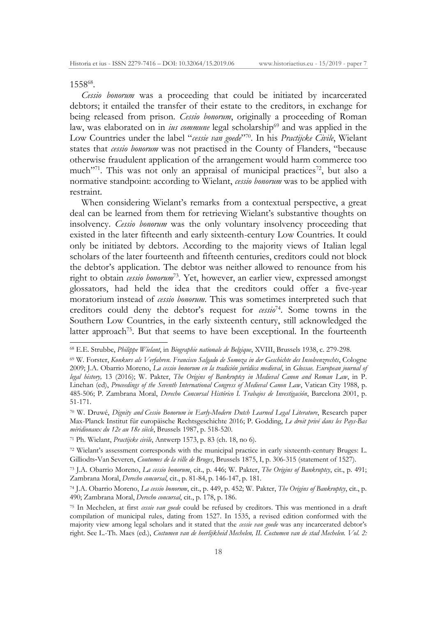### 155868.

*Cessio bonorum* was a proceeding that could be initiated by incarcerated debtors; it entailed the transfer of their estate to the creditors, in exchange for being released from prison. *Cessio bonorum*, originally a proceeding of Roman law, was elaborated on in *ius commune* legal scholarship<sup>69</sup> and was applied in the Low Countries under the label "*cessie van goede*"70. In his *Practijcke Civile*, Wielant states that *cessio bonorum* was not practised in the County of Flanders, "because otherwise fraudulent application of the arrangement would harm commerce too much<sup> $271$ </sup>. This was not only an appraisal of municipal practices<sup>72</sup>, but also a normative standpoint: according to Wielant, *cessio bonorum* was to be applied with restraint.

When considering Wielant's remarks from a contextual perspective, a great deal can be learned from them for retrieving Wielant's substantive thoughts on insolvency. *Cessio bonorum* was the only voluntary insolvency proceeding that existed in the later fifteenth and early sixteenth-century Low Countries. It could only be initiated by debtors. According to the majority views of Italian legal scholars of the later fourteenth and fifteenth centuries, creditors could not block the debtor's application. The debtor was neither allowed to renounce from his right to obtain *cessio bonorum*<sup>73</sup>*.* Yet, however, an earlier view, expressed amongst glossators, had held the idea that the creditors could offer a five-year moratorium instead of *cessio bonorum*. This was sometimes interpreted such that creditors could deny the debtor's request for *cessio*74. Some towns in the Southern Low Countries, in the early sixteenth century, still acknowledged the latter approach<sup>75</sup>. But that seems to have been exceptional. In the fourteenth

<sup>68</sup> E.E. Strubbe, *Philippe Wielant*, in *Biographie nationale de Belgique*, XVIII, Brussels 1938, c. 279-298.

<sup>69</sup> W. Forster, *Konkurs als Verfahren. Francisco Salgado de Somoza in der Geschichte des Insolvenzrechts*, Cologne 2009; J.A. Obarrio Moreno, *La cessio bonorum en la tradición jurídica medieval*, in *Glossae. European journal of legal history,* 13 (2016); W. Pakter, *The Origins of Bankruptcy in Medieval Canon and Roman Law*, in P. Linehan (ed), *Proceedings of the Seventh International Congress of Medieval Canon Law*, Vatican City 1988, p. 485-506; P. Zambrana Moral, *Derecho Concursal Histórico I. Trabajos de Investigación*, Barcelona 2001, p. 51-171.

<sup>70</sup> W. Druwé, *Dignity and Cessio Bonorum in Early-Modern Dutch Learned Legal Literature*, Research paper Max-Planck Institut für europäische Rechtsgeschichte 2016; P. Godding, *Le droit privé dans les Pays-Bas méridionaux du 12e au 18e siècle*, Brussels 1987, p. 518-520.

<sup>71</sup> Ph. Wielant, *Practijcke civile*, Antwerp 1573, p. 83 (ch. 18, no 6).

<sup>72</sup> Wielant's assessment corresponds with the municipal practice in early sixteenth-century Bruges: L. Gilliodts‐Van Severen, *Coutumes de la ville de Bruges*, Brussels 1875, I, p. 306-315 (statement of 1527).

<sup>73</sup> J.A. Obarrio Moreno, *La cessio bonorum*, cit., p. 446; W. Pakter, *The Origins of Bankruptcy*, cit., p. 491; Zambrana Moral, *Derecho concursal*, cit., p. 81-84, p. 146-147, p. 181.

<sup>74</sup> J.A. Obarrio Moreno, *La cessio bonorum*, cit., p. 449, p. 452; W. Pakter, *The Origins of Bankruptcy*, cit., p. 490; Zambrana Moral, *Derecho concursal*, cit., p. 178, p. 186.

<sup>75</sup> In Mechelen, at first *cessie van goede* could be refused by creditors. This was mentioned in a draft compilation of municipal rules, dating from 1527. In 1535, a revised edition conformed with the majority view among legal scholars and it stated that the *cessie van goede* was any incarcerated debtor's right. See L.-Th. Maes (ed.), *Costumen van de heerlijkheid Mechelen, II. Costumen van de stad Mechelen. Vol. 2:*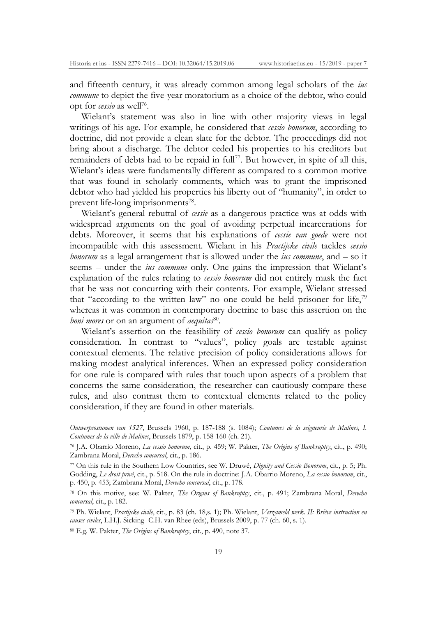and fifteenth century, it was already common among legal scholars of the *ius commune* to depict the five-year moratorium as a choice of the debtor, who could opt for *cessio* as well76.

Wielant's statement was also in line with other majority views in legal writings of his age. For example, he considered that *cessio bonorum*, according to doctrine, did not provide a clean slate for the debtor. The proceedings did not bring about a discharge. The debtor ceded his properties to his creditors but remainders of debts had to be repaid in full<sup>77</sup>. But however, in spite of all this, Wielant's ideas were fundamentally different as compared to a common motive that was found in scholarly comments, which was to grant the imprisoned debtor who had yielded his properties his liberty out of "humanity", in order to prevent life-long imprisonments<sup>78</sup>.

Wielant's general rebuttal of *cessie* as a dangerous practice was at odds with widespread arguments on the goal of avoiding perpetual incarcerations for debts. Moreover, it seems that his explanations of *cessie van goede* were not incompatible with this assessment. Wielant in his *Practijcke civile* tackles *cessio bonorum* as a legal arrangement that is allowed under the *ius commune*, and – so it seems – under the *ius commune* only*.* One gains the impression that Wielant's explanation of the rules relating to *cessio bonorum* did not entirely mask the fact that he was not concurring with their contents. For example, Wielant stressed that "according to the written law" no one could be held prisoner for life,<sup>79</sup> whereas it was common in contemporary doctrine to base this assertion on the *boni mores* or on an argument of *aequitas*<sup>80</sup>.

Wielant's assertion on the feasibility of *cessio bonorum* can qualify as policy consideration. In contrast to "values", policy goals are testable against contextual elements. The relative precision of policy considerations allows for making modest analytical inferences. When an expressed policy consideration for one rule is compared with rules that touch upon aspects of a problem that concerns the same consideration, the researcher can cautiously compare these rules, and also contrast them to contextual elements related to the policy consideration, if they are found in other materials.

*Ontwerpcostumen van 1527*, Brussels 1960, p. 187-188 (s. 1084); *Coutumes de la seigneurie de Malines, I. Coutumes de la ville de Malines*, Brussels 1879, p. 158-160 (ch. 21).

<sup>76</sup> J.A. Obarrio Moreno, *La cessio bonorum*, cit., p. 459; W. Pakter, *The Origins of Bankruptcy*, cit., p. 490; Zambrana Moral, *Derecho concursal*, cit., p. 186.

<sup>77</sup> On this rule in the Southern Low Countries, see W. Druwé, *Dignity and Cessio Bonorum*, cit., p. 5; Ph. Godding, *Le droit privé*, cit., p. 518. On the rule in doctrine: J.A. Obarrio Moreno, *La cessio bonorum*, cit., p. 450, p. 453; Zambrana Moral, *Derecho concursal*, cit., p. 178.

<sup>78</sup> On this motive, see: W. Pakter, *The Origins of Bankruptcy*, cit., p. 491; Zambrana Moral, *Derecho concursal*, cit., p. 182.

<sup>79</sup> Ph. Wielant, *Practijcke civile*, cit., p. 83 (ch. 18,s. 1); Ph. Wielant, *Verzameld werk. II: Briève instruction en causes civiles*, L.H.J. Sicking -C.H. van Rhee (eds), Brussels 2009, p. 77 (ch. 60, s. 1).

<sup>80</sup> E.g. W. Pakter, *The Origins of Bankruptcy*, cit., p. 490, note 37.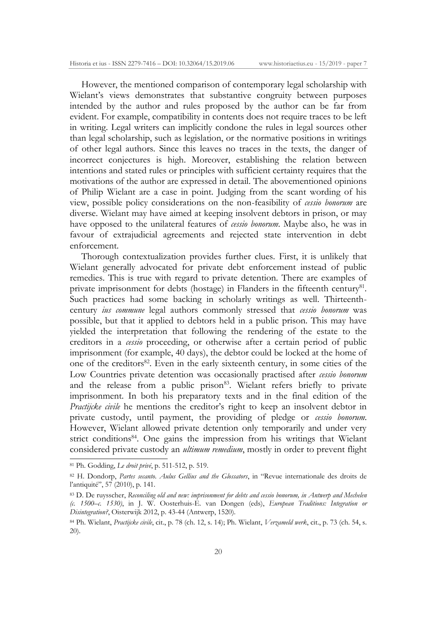However, the mentioned comparison of contemporary legal scholarship with Wielant's views demonstrates that substantive congruity between purposes intended by the author and rules proposed by the author can be far from evident. For example, compatibility in contents does not require traces to be left in writing. Legal writers can implicitly condone the rules in legal sources other than legal scholarship, such as legislation, or the normative positions in writings of other legal authors. Since this leaves no traces in the texts, the danger of incorrect conjectures is high. Moreover, establishing the relation between intentions and stated rules or principles with sufficient certainty requires that the motivations of the author are expressed in detail. The abovementioned opinions of Philip Wielant are a case in point. Judging from the scant wording of his view, possible policy considerations on the non-feasibility of *cessio bonorum* are diverse. Wielant may have aimed at keeping insolvent debtors in prison, or may have opposed to the unilateral features of *cessio bonorum*. Maybe also, he was in favour of extrajudicial agreements and rejected state intervention in debt enforcement.

Thorough contextualization provides further clues. First, it is unlikely that Wielant generally advocated for private debt enforcement instead of public remedies. This is true with regard to private detention. There are examples of private imprisonment for debts (hostage) in Flanders in the fifteenth century<sup>81</sup>. Such practices had some backing in scholarly writings as well. Thirteenthcentury *ius commune* legal authors commonly stressed that *cessio bonorum* was possible, but that it applied to debtors held in a public prison. This may have yielded the interpretation that following the rendering of the estate to the creditors in a *cessio* proceeding, or otherwise after a certain period of public imprisonment (for example, 40 days), the debtor could be locked at the home of one of the creditors<sup>82</sup>. Even in the early sixteenth century, in some cities of the Low Countries private detention was occasionally practised after *cessio bonorum* and the release from a public prison<sup>83</sup>. Wielant refers briefly to private imprisonment. In both his preparatory texts and in the final edition of the *Practijcke civile* he mentions the creditor's right to keep an insolvent debtor in private custody, until payment, the providing of pledge or *cessio bonorum*. However, Wielant allowed private detention only temporarily and under very strict conditions<sup>84</sup>. One gains the impression from his writings that Wielant considered private custody an *ultimum remedium*, mostly in order to prevent flight

<sup>81</sup> Ph. Godding, *Le droit privé*, p. 511-512, p. 519.

<sup>82</sup> H. Dondorp, *Partes secanto. Aulus Gellius and the Glossators*, in "Revue internationale des droits de l'antiquité", 57 (2010), p. 141.

<sup>83</sup> D. De ruysscher, *Reconciling old and new: imprisonment for debts and cessio bonorum, in Antwerp and Mechelen (c. 1500–c. 1530)*, in J. W. Oosterhuis-E. van Dongen (eds), *European Traditions: Integration or Disintegration?*, Oisterwijk 2012, p. 43-44 (Antwerp, 1520).

<sup>84</sup> Ph. Wielant, *Practijcke civile*, cit., p. 78 (ch. 12, s. 14); Ph. Wielant, *Verzameld werk*, cit., p. 73 (ch. 54, s. 20).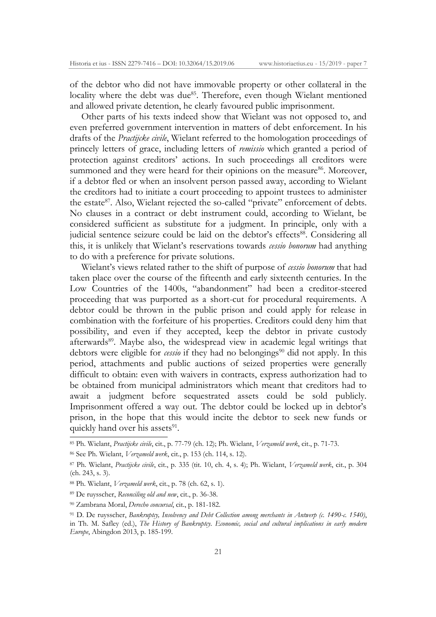of the debtor who did not have immovable property or other collateral in the locality where the debt was due<sup>85</sup>. Therefore, even though Wielant mentioned and allowed private detention, he clearly favoured public imprisonment.

Other parts of his texts indeed show that Wielant was not opposed to, and even preferred government intervention in matters of debt enforcement. In his drafts of the *Practijcke civile*, Wielant referred to the homologation proceedings of princely letters of grace, including letters of *remissio* which granted a period of protection against creditors' actions. In such proceedings all creditors were summoned and they were heard for their opinions on the measure<sup>86</sup>. Moreover, if a debtor fled or when an insolvent person passed away, according to Wielant the creditors had to initiate a court proceeding to appoint trustees to administer the estate<sup>87</sup>. Also, Wielant rejected the so-called "private" enforcement of debts. No clauses in a contract or debt instrument could, according to Wielant, be considered sufficient as substitute for a judgment. In principle, only with a judicial sentence seizure could be laid on the debtor's effects<sup>88</sup>. Considering all this, it is unlikely that Wielant's reservations towards *cessio bonorum* had anything to do with a preference for private solutions.

Wielant's views related rather to the shift of purpose of *cessio bonorum* that had taken place over the course of the fifteenth and early sixteenth centuries. In the Low Countries of the 1400s, "abandonment" had been a creditor-steered proceeding that was purported as a short-cut for procedural requirements. A debtor could be thrown in the public prison and could apply for release in combination with the forfeiture of his properties. Creditors could deny him that possibility, and even if they accepted, keep the debtor in private custody afterwards<sup>89</sup>. Maybe also, the widespread view in academic legal writings that debtors were eligible for *cessio* if they had no belongings<sup>90</sup> did not apply. In this period, attachments and public auctions of seized properties were generally difficult to obtain: even with waivers in contracts, express authorization had to be obtained from municipal administrators which meant that creditors had to await a judgment before sequestrated assets could be sold publicly. Imprisonment offered a way out. The debtor could be locked up in debtor's prison, in the hope that this would incite the debtor to seek new funds or quickly hand over his assets<sup>91</sup>.

<sup>85</sup> Ph. Wielant, *Practijcke civile*, cit., p. 77-79 (ch. 12); Ph. Wielant, *Verzameld werk*, cit., p. 71-73.

<sup>86</sup> See Ph. Wielant, *Verzameld werk*, cit., p. 153 (ch. 114, s. 12).

<sup>87</sup> Ph. Wielant, *Practijcke civile*, cit., p. 335 (tit. 10, ch. 4, s. 4); Ph. Wielant, *Verzameld werk*, cit., p. 304 (ch. 243, s. 3).

<sup>88</sup> Ph. Wielant, *Verzameld werk*, cit., p. 78 (ch. 62, s. 1).

<sup>89</sup> De ruysscher, *Reconciling old and new*, cit., p. 36-38.

<sup>90</sup> Zambrana Moral, *Derecho concursal*, cit., p. 181-182.

<sup>91</sup> D. De ruysscher, *Bankruptcy, Insolvency and Debt Collection among merchants in Antwerp (c. 1490-c. 1540)*, in Th. M. Safley (ed.), *The History of Bankruptcy. Economic, social and cultural implications in early modern Europe*, Abingdon 2013, p. 185-199.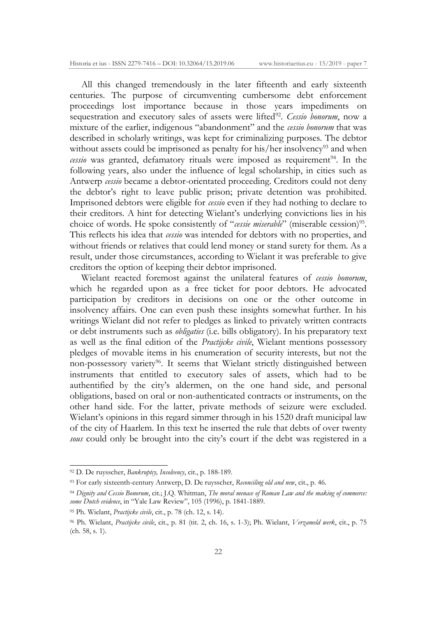All this changed tremendously in the later fifteenth and early sixteenth centuries. The purpose of circumventing cumbersome debt enforcement proceedings lost importance because in those years impediments on sequestration and executory sales of assets were lifted<sup>92</sup>. *Cessio bonorum*, now a mixture of the earlier, indigenous "abandonment" and the *cessio bonorum* that was described in scholarly writings, was kept for criminalizing purposes. The debtor without assets could be imprisoned as penalty for his/her insolvency<sup>93</sup> and when *cessio* was granted, defamatory rituals were imposed as requirement<sup>94</sup>. In the following years, also under the influence of legal scholarship, in cities such as Antwerp *cessio* became a debtor-orientated proceeding. Creditors could not deny the debtor's right to leave public prison; private detention was prohibited. Imprisoned debtors were eligible for *cessio* even if they had nothing to declare to their creditors. A hint for detecting Wielant's underlying convictions lies in his choice of words. He spoke consistently of "*cessie miserable*" (miserable cession)<sup>95</sup>. This reflects his idea that *cessio* was intended for debtors with no properties, and without friends or relatives that could lend money or stand surety for them. As a result, under those circumstances, according to Wielant it was preferable to give creditors the option of keeping their debtor imprisoned.

Wielant reacted foremost against the unilateral features of *cessio bonorum*, which he regarded upon as a free ticket for poor debtors. He advocated participation by creditors in decisions on one or the other outcome in insolvency affairs. One can even push these insights somewhat further. In his writings Wielant did not refer to pledges as linked to privately written contracts or debt instruments such as *obligaties* (i.e. bills obligatory). In his preparatory text as well as the final edition of the *Practijcke civile*, Wielant mentions possessory pledges of movable items in his enumeration of security interests, but not the non-possessory variety<sup>96</sup>. It seems that Wielant strictly distinguished between instruments that entitled to executory sales of assets, which had to be authentified by the city's aldermen, on the one hand side, and personal obligations, based on oral or non-authenticated contracts or instruments, on the other hand side. For the latter, private methods of seizure were excluded. Wielant's opinions in this regard simmer through in his 1520 draft municipal law of the city of Haarlem. In this text he inserted the rule that debts of over twenty *sous* could only be brought into the city's court if the debt was registered in a

<sup>92</sup> D. De ruysscher, *Bankruptcy, Insolvency*, cit., p. 188-189.

<sup>93</sup> For early sixteenth-century Antwerp, D. De ruysscher, *Reconciling old and new*, cit., p. 46.

<sup>94</sup> *Dignity and Cessio Bonorum*, cit.; J.Q. Whitman, *The moral menace of Roman Law and the making of commerce: some Dutch evidence*, in "Yale Law Review", 105 (1996), p. 1841-1889.

<sup>95</sup> Ph. Wielant, *Practijcke civile*, cit., p. 78 (ch. 12, s. 14).

<sup>96</sup> Ph. Wielant, *Practijcke civile*, cit., p. 81 (tit. 2, ch. 16, s. 1-3); Ph. Wielant, *Verzameld werk*, cit., p. 75 (ch. 58, s. 1).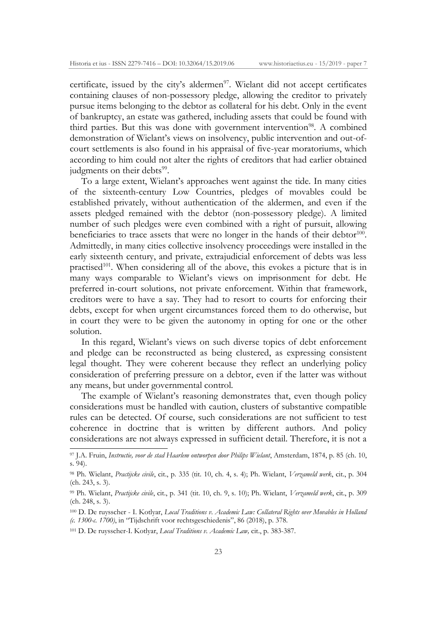certificate, issued by the city's aldermen $97$ . Wielant did not accept certificates containing clauses of non-possessory pledge, allowing the creditor to privately pursue items belonging to the debtor as collateral for his debt. Only in the event of bankruptcy, an estate was gathered, including assets that could be found with third parties. But this was done with government intervention<sup>98</sup>. A combined demonstration of Wielant's views on insolvency, public intervention and out-ofcourt settlements is also found in his appraisal of five-year moratoriums, which according to him could not alter the rights of creditors that had earlier obtained judgments on their debts<sup>99</sup>.

To a large extent, Wielant's approaches went against the tide. In many cities of the sixteenth-century Low Countries, pledges of movables could be established privately, without authentication of the aldermen, and even if the assets pledged remained with the debtor (non-possessory pledge). A limited number of such pledges were even combined with a right of pursuit, allowing beneficiaries to trace assets that were no longer in the hands of their debtor<sup>100</sup>. Admittedly, in many cities collective insolvency proceedings were installed in the early sixteenth century, and private, extrajudicial enforcement of debts was less practised<sup>101</sup>. When considering all of the above, this evokes a picture that is in many ways comparable to Wielant's views on imprisonment for debt. He preferred in-court solutions, not private enforcement. Within that framework, creditors were to have a say. They had to resort to courts for enforcing their debts, except for when urgent circumstances forced them to do otherwise, but in court they were to be given the autonomy in opting for one or the other solution.

In this regard, Wielant's views on such diverse topics of debt enforcement and pledge can be reconstructed as being clustered, as expressing consistent legal thought. They were coherent because they reflect an underlying policy consideration of preferring pressure on a debtor, even if the latter was without any means, but under governmental control.

The example of Wielant's reasoning demonstrates that, even though policy considerations must be handled with caution, clusters of substantive compatible rules can be detected. Of course, such considerations are not sufficient to test coherence in doctrine that is written by different authors. And policy considerations are not always expressed in sufficient detail. Therefore, it is not a

<sup>97</sup> J.A. Fruin, *Instructie, voor de stad Haarlem ontworpen door Philips Wielant*, Amsterdam, 1874, p. 85 (ch. 10, s. 94).

<sup>98</sup> Ph. Wielant, *Practijcke civile*, cit., p. 335 (tit. 10, ch. 4, s. 4); Ph. Wielant, *Verzameld werk*, cit., p. 304 (ch. 243, s. 3).

<sup>99</sup> Ph. Wielant, *Practijcke civile*, cit., p. 341 (tit. 10, ch. 9, s. 10); Ph. Wielant, *Verzameld werk*, cit., p. 309 (ch. 248, s. 3).

<sup>100</sup> D. De ruysscher - I. Kotlyar, *Local Traditions v. Academic Law: Collateral Rights over Movables in Holland (c. 1300-c. 1700)*, in "Tijdschrift voor rechtsgeschiedenis", 86 (2018), p. 378.

<sup>101</sup> D. De ruysscher-I. Kotlyar, *Local Traditions v. Academic Law,* cit., p. 383-387.